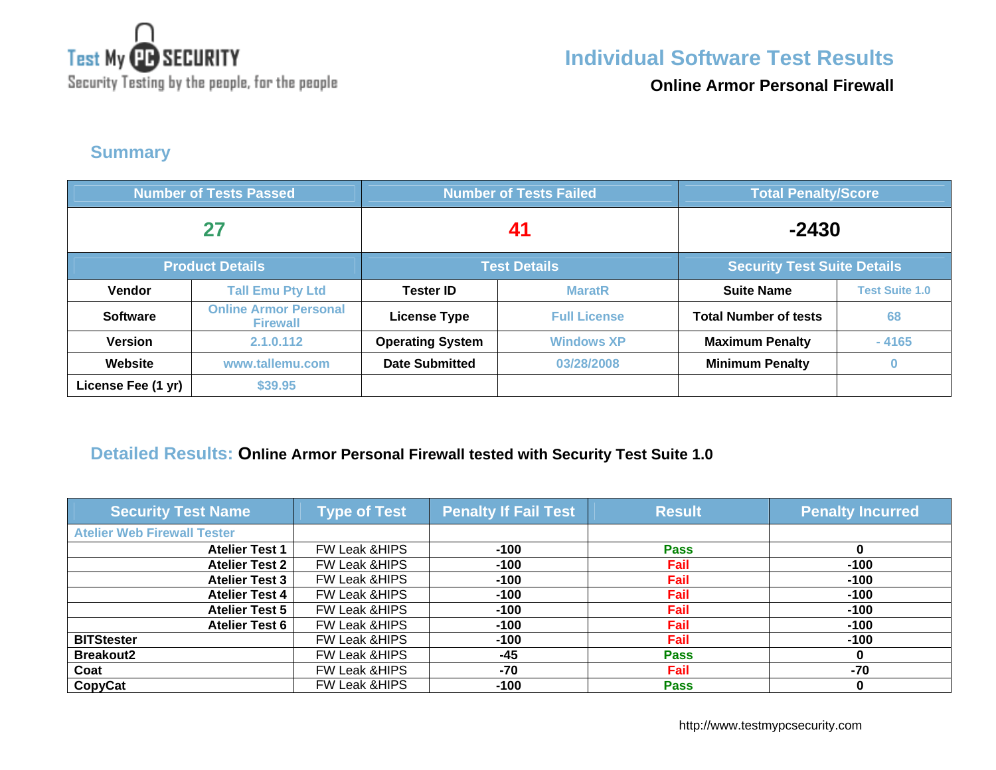

**Online Armor Personal Firewall**

**Summary** 

| <b>Number of Tests Passed</b> |                                                 | <b>Number of Tests Failed</b> |                     | <b>Total Penalty/Score</b>         |                       |
|-------------------------------|-------------------------------------------------|-------------------------------|---------------------|------------------------------------|-----------------------|
| 27                            |                                                 | 41                            |                     | $-2430$                            |                       |
|                               | <b>Product Details</b>                          | <b>Test Details</b>           |                     | <b>Security Test Suite Details</b> |                       |
| Vendor                        | <b>Tall Emu Pty Ltd</b>                         | <b>Tester ID</b>              | <b>MaratR</b>       | <b>Suite Name</b>                  | <b>Test Suite 1.0</b> |
| <b>Software</b>               | <b>Online Armor Personal</b><br><b>Firewall</b> | <b>License Type</b>           | <b>Full License</b> | <b>Total Number of tests</b>       | 68                    |
| <b>Version</b>                | 2.1.0.112                                       | <b>Operating System</b>       | <b>Windows XP</b>   | <b>Maximum Penalty</b>             | $-4165$               |
| Website                       | www.tallemu.com                                 | <b>Date Submitted</b>         | 03/28/2008          | <b>Minimum Penalty</b>             | $\bf{0}$              |
| License Fee (1 yr)            | \$39.95                                         |                               |                     |                                    |                       |

#### **Detailed Results: Online Armor Personal Firewall tested with Security Test Suite 1.0**

| <b>Security Test Name</b>          | <b>Type of Test</b>      | <b>Penalty If Fail Test</b> | <b>Result</b> | <b>Penalty Incurred</b> |
|------------------------------------|--------------------------|-----------------------------|---------------|-------------------------|
| <b>Atelier Web Firewall Tester</b> |                          |                             |               |                         |
| <b>Atelier Test 1</b>              | FW Leak & HIPS           | $-100$                      | <b>Pass</b>   |                         |
| <b>Atelier Test 2</b>              | <b>FW Leak &amp;HIPS</b> | $-100$                      | Fail          | $-100$                  |
| <b>Atelier Test 3</b>              | FW Leak & HIPS           | $-100$                      | Fail          | $-100$                  |
| <b>Atelier Test 4</b>              | FW Leak & HIPS           | $-100$                      | <b>Fail</b>   | $-100$                  |
| <b>Atelier Test 5</b>              | FW Leak & HIPS           | $-100$                      | Fail          | $-100$                  |
| <b>Atelier Test 6</b>              | FW Leak & HIPS           | $-100$                      | Fail          | $-100$                  |
| <b>BITStester</b>                  | <b>FW Leak &amp;HIPS</b> | $-100$                      | Fail          | $-100$                  |
| <b>Breakout2</b>                   | FW Leak & HIPS           | $-45$                       | <b>Pass</b>   |                         |
| Coat                               | <b>FW Leak &amp;HIPS</b> | -70                         | Fail          | -70                     |
| <b>CopyCat</b>                     | FW Leak & HIPS           | -100                        | <b>Pass</b>   |                         |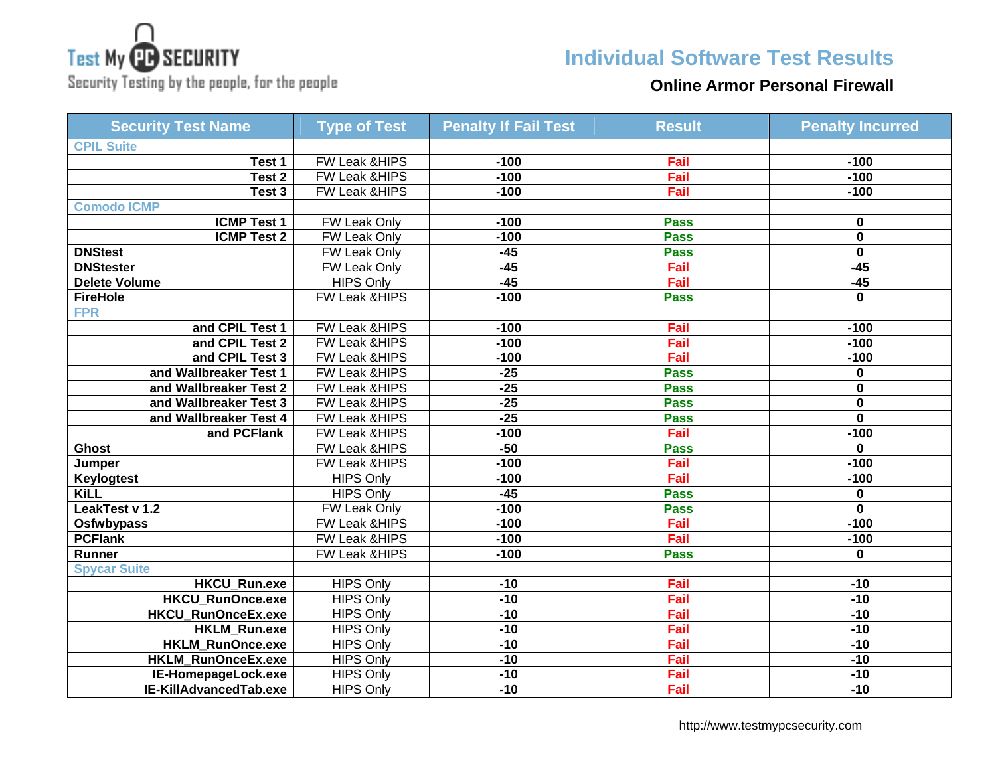# **Test My CB SECURITY**

Security Testing by the people, for the people

## **Individual Software Test Results**

#### **Online Armor Personal Firewall**

| <b>Security Test Name</b> | <b>Type of Test</b>      | <b>Penalty If Fail Test</b> | <b>Result</b> | <b>Penalty Incurred</b> |
|---------------------------|--------------------------|-----------------------------|---------------|-------------------------|
| <b>CPIL Suite</b>         |                          |                             |               |                         |
| Test 1                    | FW Leak &HIPS            | $-100$                      | Fail          | $-100$                  |
| Test <sub>2</sub>         | <b>FW Leak &amp;HIPS</b> | $-100$                      | Fail          | $-100$                  |
| Test <sub>3</sub>         | FW Leak &HIPS            | $-100$                      | Fail          | $-100$                  |
| <b>Comodo ICMP</b>        |                          |                             |               |                         |
| <b>ICMP Test 1</b>        | <b>FW Leak Only</b>      | $-100$                      | <b>Pass</b>   | $\bf{0}$                |
| <b>ICMP Test 2</b>        | <b>FW Leak Only</b>      | $-100$                      | <b>Pass</b>   | $\overline{\mathbf{0}}$ |
| <b>DNStest</b>            | FW Leak Only             | $-45$                       | <b>Pass</b>   | $\mathbf 0$             |
| <b>DNStester</b>          | FW Leak Only             | $-45$                       | Fail          | $-45$                   |
| <b>Delete Volume</b>      | <b>HIPS Only</b>         | $-45$                       | Fail          | $-45$                   |
| <b>FireHole</b>           | FW Leak &HIPS            | $-100$                      | <b>Pass</b>   | $\bf{0}$                |
| <b>FPR</b>                |                          |                             |               |                         |
| and CPIL Test 1           | FW Leak &HIPS            | $-100$                      | Fail          | $-100$                  |
| and CPIL Test 2           | <b>FW Leak &amp;HIPS</b> | $-100$                      | Fail          | $-100$                  |
| and CPIL Test 3           | FW Leak & HIPS           | $-100$                      | Fail          | $-100$                  |
| and Wallbreaker Test 1    | <b>FW Leak &amp;HIPS</b> | $-25$                       | <b>Pass</b>   | $\bf{0}$                |
| and Wallbreaker Test 2    | FW Leak &HIPS            | $-25$                       | <b>Pass</b>   | $\bf{0}$                |
| and Wallbreaker Test 3    | FW Leak &HIPS            | $-25$                       | <b>Pass</b>   | $\bf{0}$                |
| and Wallbreaker Test 4    | <b>FW Leak &amp;HIPS</b> | $-25$                       | <b>Pass</b>   | $\mathbf{0}$            |
| and PCFlank               | <b>FW Leak &amp;HIPS</b> | $-100$                      | Fail          | $-100$                  |
| <b>Ghost</b>              | <b>FW Leak &amp;HIPS</b> | $-50$                       | <b>Pass</b>   | $\mathbf{0}$            |
| Jumper                    | <b>FW Leak &amp;HIPS</b> | $-100$                      | Fail          | $-100$                  |
| Keylogtest                | <b>HIPS Only</b>         | $-100$                      | Fail          | $-100$                  |
| <b>KiLL</b>               | <b>HIPS Only</b>         | $-45$                       | <b>Pass</b>   | $\bf{0}$                |
| LeakTest v 1.2            | FW Leak Only             | $-100$                      | <b>Pass</b>   | $\bf{0}$                |
| <b>Osfwbypass</b>         | <b>FW Leak &amp;HIPS</b> | $-100$                      | Fail          | $-100$                  |
| <b>PCFlank</b>            | <b>FW Leak &amp;HIPS</b> | $-100$                      | Fail          | $-100$                  |
| Runner                    | FW Leak &HIPS            | $-100$                      | <b>Pass</b>   | $\bf{0}$                |
| <b>Spycar Suite</b>       |                          |                             |               |                         |
| <b>HKCU_Run.exe</b>       | <b>HIPS Only</b>         | $-10$                       | Fail          | $-10$                   |
| <b>HKCU_RunOnce.exe</b>   | <b>HIPS Only</b>         | $-10$                       | Fail          | $-10$                   |
| <b>HKCU RunOnceEx.exe</b> | <b>HIPS Only</b>         | $-10$                       | Fail          | $-10$                   |
| HKLM_Run.exe              | <b>HIPS Only</b>         | $-10$                       | Fail          | $-10$                   |
| <b>HKLM_RunOnce.exe</b>   | <b>HIPS Only</b>         | $-10$                       | Fail          | $-10$                   |
| HKLM_RunOnceEx.exe        | <b>HIPS Only</b>         | $-10$                       | Fail          | $-10$                   |
| IE-HomepageLock.exe       | <b>HIPS Only</b>         | $-10$                       | Fail          | $-10$                   |
| IE-KillAdvancedTab.exe    | <b>HIPS Only</b>         | $-10$                       | Fail          | $-10$                   |